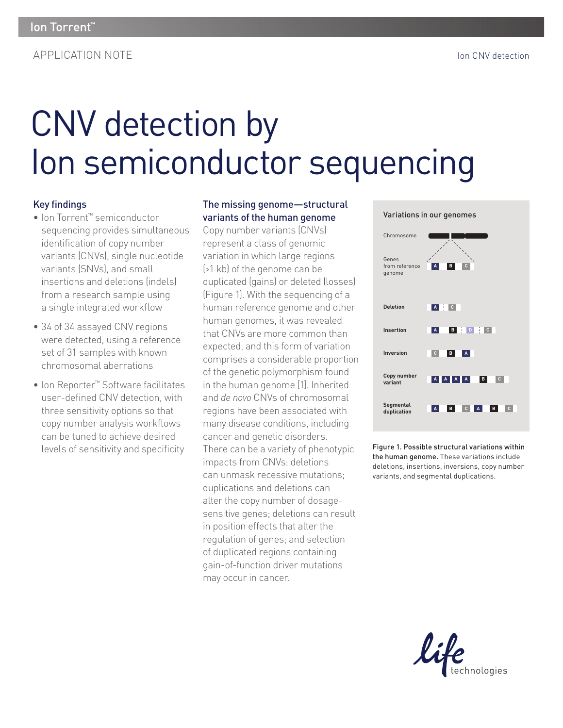# CNV detection by Ion semiconductor sequencing

### **Key findings**

- Ion Torrent™ semiconductor sequencing provides simultaneous identification of copy number variants (CNVs), single nucleotide variants (SNVs), and small insertions and deletions (indels) from a research sample using a single integrated workflow
- 34 of 34 assayed CNV regions were detected, using a reference set of 31 samples with known chromosomal aberrations
- Ion Reporter™ Software facilitates user-defined CNV detection, with three sensitivity options so that copy number analysis workflows can be tuned to achieve desired levels of sensitivity and specificity

#### The missing genome—structural variants of the human genome

Copy number variants (CNVs) represent a class of genomic variation in which large regions (>1 kb) of the genome can be duplicated (gains) or deleted (losses) (Figure 1). With the sequencing of a human reference genome and other human genomes, it was revealed that CNVs are more common than expected, and this form of variation comprises a considerable proportion of the genetic polymorphism found in the human genome [1]. Inherited and *de novo* CNVs of chromosomal regions have been associated with many disease conditions, including cancer and genetic disorders. There can be a variety of phenotypic impacts from CNVs: deletions can unmask recessive mutations; duplications and deletions can alter the copy number of dosagesensitive genes; deletions can result in position effects that alter the regulation of genes; and selection of duplicated regions containing gain-of-function driver mutations may occur in cancer.



Figure 1. Possible structural variations within the human genome. These variations include deletions, insertions, inversions, copy number variants, and segmental duplications.

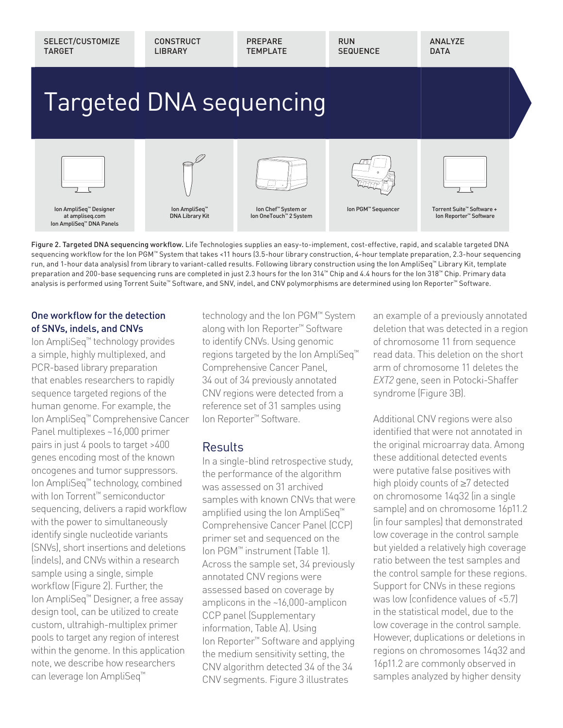

Figure 2. Targeted DNA sequencing workflow. Life Technologies supplies an easy-to-implement, cost-effective, rapid, and scalable targeted DNA sequencing workflow for the Ion PGM™ System that takes <11 hours (3.5-hour library construction, 4-hour template preparation, 2.3-hour sequencing run, and 1-hour data analysis) from library to variant-called results. Following library construction using the Ion AmpliSeq™ Library Kit, template preparation and 200-base sequencing runs are completed in just 2.3 hours for the Ion 314™ Chip and 4.4 hours for the Ion 318™ Chip. Primary data analysis is performed using Torrent Suite™ Software, and SNV, indel, and CNV polymorphisms are determined using Ion Reporter™ Software.

#### One workflow for the detection of SNVs, indels, and CNVs

Ion AmpliSeq™ technology provides a simple, highly multiplexed, and PCR-based library preparation that enables researchers to rapidly sequence targeted regions of the human genome. For example, the Ion AmpliSeq™ Comprehensive Cancer Panel multiplexes ~16,000 primer pairs in just 4 pools to target >400 genes encoding most of the known oncogenes and tumor suppressors. Ion AmpliSeq™ technology, combined with Ion Torrent™ semiconductor sequencing, delivers a rapid workflow with the power to simultaneously identify single nucleotide variants (SNVs), short insertions and deletions (indels), and CNVs within a research sample using a single, simple workflow (Figure 2). Further, the Ion AmpliSeq™ Designer, a free assay design tool, can be utilized to create custom, ultrahigh-multiplex primer pools to target any region of interest within the genome. In this application note, we describe how researchers can leverage Ion AmpliSeq™

technology and the Ion PGM™ System along with Ion Reporter™ Software to identify CNVs. Using genomic regions targeted by the Ion AmpliSeq™ Comprehensive Cancer Panel, 34 out of 34 previously annotated CNV regions were detected from a reference set of 31 samples using Ion Reporter™ Software.

## **Results**

In a single-blind retrospective study, the performance of the algorithm was assessed on 31 archived samples with known CNVs that were amplified using the Ion AmpliSeq™ Comprehensive Cancer Panel (CCP) primer set and sequenced on the Ion PGM™ instrument (Table 1). Across the sample set, 34 previously annotated CNV regions were assessed based on coverage by amplicons in the ~16,000-amplicon CCP panel (Supplementary information, Table A). Using Ion Reporter™ Software and applying the medium sensitivity setting, the CNV algorithm detected 34 of the 34 CNV segments. Figure 3 illustrates

an example of a previously annotated deletion that was detected in a region of chromosome 11 from sequence read data. This deletion on the short arm of chromosome 11 deletes the *EXT2* gene, seen in Potocki-Shaffer syndrome (Figure 3B).

Additional CNV regions were also identified that were not annotated in the original microarray data. Among these additional detected events were putative false positives with high ploidy counts of ≥7 detected on chromosome 14q32 (in a single sample) and on chromosome 16p11.2 (in four samples) that demonstrated low coverage in the control sample but yielded a relatively high coverage ratio between the test samples and the control sample for these regions. Support for CNVs in these regions was low (confidence values of  $< 5.7$ ) in the statistical model, due to the low coverage in the control sample. However, duplications or deletions in regions on chromosomes 14q32 and 16p11.2 are commonly observed in samples analyzed by higher density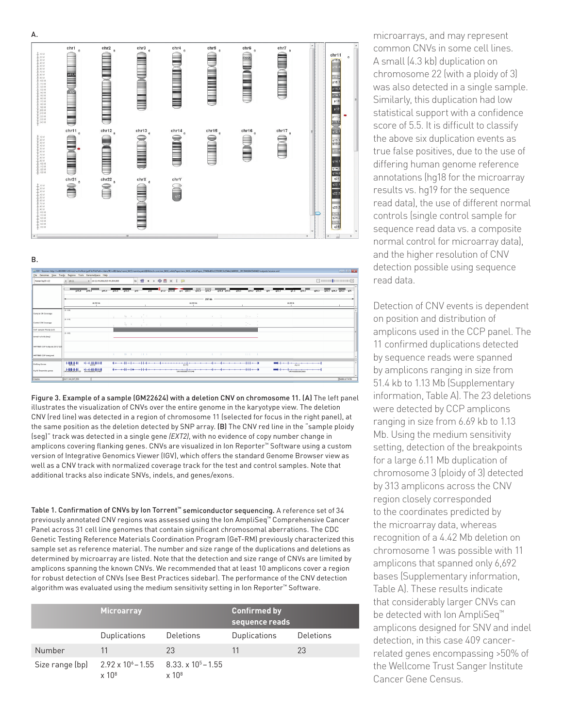#### $chr3$  $chr6$ chr1 chr<sub>2</sub>  $\mathbb{D}$  is  $\mathbb{C}$  in the set  $\mathbb{D}$  is  $\mathbb{C}$  in the set  $\mathbb{C}$  $chr11$  $\frac{a}{2}$   $\frac{a}{2}$   $\frac{a}{2}$   $\frac{a}{2}$   $\frac{a}{2}$   $\frac{a}{2}$   $\frac{a}{2}$   $\frac{a}{2}$   $\frac{a}{2}$   $\frac{a}{2}$   $\frac{a}{2}$   $\frac{a}{2}$   $\frac{a}{2}$ **THE STATE OF STATE OF STATE OF STATE OF STATE OF STATE OF STATE OF STATE OF STATE OF STATE OF STATE OF STATE OF STATE OF STATE OF STATE OF STATE OF STATE OF STATE OF STATE OF STATE OF STATE OF STATE OF STATE OF STATE OF S**  $\sum_{n=1}^{\infty}$  $\begin{array}{c}\n\hline\n\text{chr15} \\
\hline\n\text{chr15}\n\end{array}$  $chr14$ chr16 chr17 **EXAMPLE** B  $\begin{array}{c}\n\hline\n\text{chr} \\
\hline\n\text{chr} \\
\hline\n\text{chr} \\
\hline\n\text{chr} \\
\hline\n\text{chr} \\
\hline\n\text{chr} \\
\hline\n\text{chr} \\
\hline\n\text{chr} \\
\hline\n\text{chr} \\
\hline\n\text{chr} \\
\hline\n\text{chr} \\
\hline\n\text{chr} \\
\hline\n\text{chr} \\
\hline\n\text{chr} \\
\hline\n\text{chr} \\
\hline\n\text{chr} \\
\hline\n\text{chr} \\
\hline\n\text{chr} \\
\hline\n\text{chr} \\
\hline$ chrY

B.

| File Genomes View Tracks Regions Tools GenomeSpace Help |                           |                                  |                |                               |                                                                                                 |                         | Jrg 1GV - Session: http://vv08.6080/ir16/rest/wVerRest/getFile?filePath:/data/fR/vv08/data/nami_0415/namita.patel@lifetech.com/arn_0415_whitePaper/ann_0416_whitePaper_271486d83e123510013e1544e2d60018_2013041604554704053/ou                                                                                                                                     |                      |          |                  |                                                                                                                                                                                                                                                                                                                                                                                                                                                                     |                         | <b>For Big Hotel</b>          |
|---------------------------------------------------------|---------------------------|----------------------------------|----------------|-------------------------------|-------------------------------------------------------------------------------------------------|-------------------------|--------------------------------------------------------------------------------------------------------------------------------------------------------------------------------------------------------------------------------------------------------------------------------------------------------------------------------------------------------------------|----------------------|----------|------------------|---------------------------------------------------------------------------------------------------------------------------------------------------------------------------------------------------------------------------------------------------------------------------------------------------------------------------------------------------------------------------------------------------------------------------------------------------------------------|-------------------------|-------------------------------|
| Human hg 19 v 12                                        | $-$ dr11                  | - dv11:44,066,815-44,364,965     |                |                               | $\circ$ $\bullet$ $\bullet$ $\bullet$ $\circ$ $\bullet$ $\bullet$ $\bullet$ $\bullet$ $\bullet$ |                         |                                                                                                                                                                                                                                                                                                                                                                    |                      |          |                  |                                                                                                                                                                                                                                                                                                                                                                                                                                                                     |                         |                               |
|                                                         | $-15.4$                   | $-15.5$                          | 015.1<br>p14.3 | p14.1                         | p13<br>B12                                                                                      |                         | p11.2 p11.12<br>$q11 - q12.1$<br>q12.3                                                                                                                                                                                                                                                                                                                             | 415.2<br>g15.4 g15.5 | $-014.1$ | $e14.2$ $e14.3$  | $-421$<br>q22.1<br>22.3                                                                                                                                                                                                                                                                                                                                                                                                                                             | 623.3<br>$-423.1$       | $q24.1$ $q24.2$ $q24.3$ $q25$ |
|                                                         |                           | 44,100 kb                        |                |                               |                                                                                                 |                         | 44,200 Ms                                                                                                                                                                                                                                                                                                                                                          | 297 kb               |          |                  | 44,900 Mb                                                                                                                                                                                                                                                                                                                                                                                                                                                           |                         |                               |
| Sample CN Coverage                                      | $10 - 0.361$              |                                  | <b>College</b> |                               | $\lambda_2 = \lambda_1 = \ldots = \lambda_1 = \lambda_1$                                        | the company of the com- | The contract of the contract of                                                                                                                                                                                                                                                                                                                                    | <b>ALC: NO</b>       |          | $\gamma \sim 10$ |                                                                                                                                                                                                                                                                                                                                                                                                                                                                     |                         |                               |
| Control CN Coverage                                     | 10-2.10                   |                                  |                | $\frac{1}{2}$ , $\frac{1}{2}$ | $\sim$ $ \sim$                                                                                  | $\sim$                  | $-2$                                                                                                                                                                                                                                                                                                                                                               | and the con-         |          | Dec.             |                                                                                                                                                                                                                                                                                                                                                                                                                                                                     |                         |                               |
| Self sample Plaidy (ycf)                                |                           |                                  |                |                               |                                                                                                 |                         |                                                                                                                                                                                                                                                                                                                                                                    |                      |          |                  |                                                                                                                                                                                                                                                                                                                                                                                                                                                                     |                         |                               |
| sample plaidy (sep)                                     | 10-200                    |                                  |                |                               |                                                                                                 |                         |                                                                                                                                                                                                                                                                                                                                                                    |                      |          |                  |                                                                                                                                                                                                                                                                                                                                                                                                                                                                     |                         |                               |
| 4477695 CCP hotspots 20121225                           |                           |                                  |                |                               |                                                                                                 |                         |                                                                                                                                                                                                                                                                                                                                                                    |                      |          |                  |                                                                                                                                                                                                                                                                                                                                                                                                                                                                     |                         |                               |
| 4477685 CCP designed                                    |                           |                                  |                | $11 - 1$                      | 11.1                                                                                            |                         |                                                                                                                                                                                                                                                                                                                                                                    |                      |          | 111.1            |                                                                                                                                                                                                                                                                                                                                                                                                                                                                     |                         |                               |
| RefSes Oanes                                            | H∰L∯H                     | 计电摄册目                            |                |                               |                                                                                                 |                         | the contract of the company of the contract of the contract of the contract of the contract of the contract of                                                                                                                                                                                                                                                     |                      | $\cdots$ |                  | $\begin{array}{c ccccccccccccccccc} \hline \multicolumn{3}{c }{\textbf{m}} & \multicolumn{3}{c }{\textbf{m}} & \multicolumn{3}{c }{\textbf{m}} & \multicolumn{3}{c }{\textbf{m}} & \multicolumn{3}{c }{\textbf{m}} & \multicolumn{3}{c }{\textbf{m}} & \multicolumn{3}{c }{\textbf{m}} & \multicolumn{3}{c }{\textbf{m}} & \multicolumn{3}{c }{\textbf{m}} & \multicolumn{3}{c }{\textbf{m}} & \multicolumn{3}{c }{\textbf{m}} & \multicolumn{3}{c }{\textbf{m}} &$ |                         |                               |
| Hat0 Exsemble penes                                     | <u> " Lillit it til "</u> | <b>the dedition of the light</b> |                |                               |                                                                                                 |                         | $\begin{picture}(150,10) \put(0,0){\vector(1,0){100}} \put(10,0){\vector(1,0){100}} \put(10,0){\vector(1,0){100}} \put(10,0){\vector(1,0){100}} \put(10,0){\vector(1,0){100}} \put(10,0){\vector(1,0){100}} \put(10,0){\vector(1,0){100}} \put(10,0){\vector(1,0){100}} \put(10,0){\vector(1,0){100}} \put(10,0){\vector(1,0){100}} \put(10,0){\vector(1,0){100}}$ |                      |          |                  |                                                                                                                                                                                                                                                                                                                                                                                                                                                                     | ENSGCOODSCORPED * * * * |                               |
| <b>B</b> tracks                                         | chr11:44.247.250          |                                  |                |                               |                                                                                                 |                         |                                                                                                                                                                                                                                                                                                                                                                    |                      |          |                  |                                                                                                                                                                                                                                                                                                                                                                                                                                                                     |                         | <b>548M of 747M</b>           |

Figure 3. Example of a sample (GM22624) with a deletion CNV on chromosome 11. (A) The left panel illustrates the visualization of CNVs over the entire genome in the karyotype view. The deletion CNV (red line) was detected in a region of chromosome 11 (selected for focus in the right panel), at the same position as the deletion detected by SNP array. (B) The CNV red line in the "sample ploidy (seg)" track was detected in a single gene *(EXT2)*, with no evidence of copy number change in amplicons covering flanking genes. CNVs are visualized in Ion Reporter™ Software using a custom version of Integrative Genomics Viewer (IGV), which offers the standard Genome Browser view as well as a CNV track with normalized coverage track for the test and control samples. Note that additional tracks also indicate SNVs, indels, and genes/exons.

Table 1. Confirmation of CNVs by Ion Torrent™ semiconductor sequencing. A reference set of 34 previously annotated CNV regions was assessed using the Ion AmpliSeq™ Comprehensive Cancer Panel across 31 cell line genomes that contain significant chromosomal aberrations. The CDC Genetic Testing Reference Materials Coordination Program (GeT-RM) previously characterized this sample set as reference material. The number and size range of the duplications and deletions as determined by microarray are listed. Note that the detection and size range of CNVs are limited by amplicons spanning the known CNVs. We recommended that at least 10 amplicons cover a region for robust detection of CNVs (see Best Practices sidebar). The performance of the CNV detection algorithm was evaluated using the medium sensitivity setting in Ion Reporter™ Software.

|                 | <b>Microarray</b>                                                           |                  | <b>Confirmed by</b><br>sequence reads |           |
|-----------------|-----------------------------------------------------------------------------|------------------|---------------------------------------|-----------|
|                 | <b>Duplications</b>                                                         | <b>Deletions</b> | Duplications                          | Deletions |
| Number          | 11                                                                          | 23               | 11                                    | 23        |
| Size range (bp) | $2.92 \times 10^{6} - 1.55$ 8.33. x 10 <sup>5</sup> – 1.55<br>$\times 10^8$ | $\times 10^8$    |                                       |           |

microarrays, and may represent common CNVs in some cell lines. A small (4.3 kb) duplication on chromosome 22 (with a ploidy of 3) was also detected in a single sample. Similarly, this duplication had low statistical support with a confidence score of 5.5. It is difficult to classify the above six duplication events as true false positives, due to the use of differing human genome reference annotations (hg18 for the microarray results vs. hg19 for the sequence read data), the use of different normal controls (single control sample for sequence read data vs. a composite normal control for microarray data), and the higher resolution of CNV detection possible using sequence read data.

Detection of CNV events is dependent on position and distribution of amplicons used in the CCP panel. The 11 confirmed duplications detected by sequence reads were spanned by amplicons ranging in size from 51.4 kb to 1.13 Mb (Supplementary information, Table A). The 23 deletions were detected by CCP amplicons ranging in size from 6.69 kb to 1.13 Mb. Using the medium sensitivity setting, detection of the breakpoints for a large 6.11 Mb duplication of chromosome 3 (ploidy of 3) detected by 313 amplicons across the CNV region closely corresponded to the coordinates predicted by the microarray data, whereas recognition of a 4.42 Mb deletion on chromosome 1 was possible with 11 amplicons that spanned only 6,692 bases (Supplementary information, Table A). These results indicate that considerably larger CNVs can be detected with Ion AmpliSeq™ amplicons designed for SNV and indel detection, in this case 409 cancerrelated genes encompassing >50% of the Wellcome Trust Sanger Institute Cancer Gene Census.

A.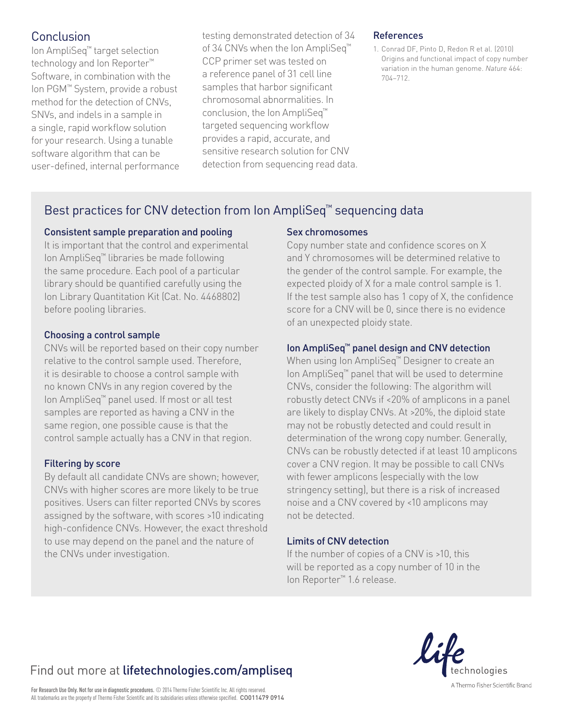## Conclusion

Ion AmpliSeq™ target selection technology and Ion Reporter™ Software, in combination with the Ion PGM™ System, provide a robust method for the detection of CNVs, SNVs, and indels in a sample in a single, rapid workflow solution for your research. Using a tunable software algorithm that can be user-defined, internal performance

testing demonstrated detection of 34 of 34 CNVs when the Ion AmpliSeq<sup>™</sup> CCP primer set was tested on a reference panel of 31 cell line samples that harbor significant chromosomal abnormalities. In conclusion, the Ion AmpliSeq™ targeted sequencing workflow provides a rapid, accurate, and sensitive research solution for CNV detection from sequencing read data.

#### **References**

1. Conrad DF, Pinto D, Redon R et al. (2010) Origins and functional impact of copy number variation in the human genome. *Nature* 464: 704–712.

## Best practices for CNV detection from Ion AmpliSeq™ sequencing data

#### Consistent sample preparation and pooling

It is important that the control and experimental Ion AmpliSeq™ libraries be made following the same procedure. Each pool of a particular library should be quantified carefully using the Ion Library Quantitation Kit (Cat. No. 4468802) before pooling libraries.

#### Choosing a control sample

CNVs will be reported based on their copy number relative to the control sample used. Therefore, it is desirable to choose a control sample with no known CNVs in any region covered by the Ion AmpliSeq™ panel used. If most or all test samples are reported as having a CNV in the same region, one possible cause is that the control sample actually has a CNV in that region.

#### Filtering by score

By default all candidate CNVs are shown; however, CNVs with higher scores are more likely to be true positives. Users can filter reported CNVs by scores assigned by the software, with scores >10 indicating high-confidence CNVs. However, the exact threshold to use may depend on the panel and the nature of the CNVs under investigation.

#### Sex chromosomes

Copy number state and confidence scores on X and Y chromosomes will be determined relative to the gender of the control sample. For example, the expected ploidy of X for a male control sample is 1. If the test sample also has 1 copy of X, the confidence score for a CNV will be 0, since there is no evidence of an unexpected ploidy state.

### Ion AmpliSeq™ panel design and CNV detection

When using Ion AmpliSeq™ Designer to create an Ion AmpliSeq™ panel that will be used to determine CNVs, consider the following: The algorithm will robustly detect CNVs if <20% of amplicons in a panel are likely to display CNVs. At >20%, the diploid state may not be robustly detected and could result in determination of the wrong copy number. Generally, CNVs can be robustly detected if at least 10 amplicons cover a CNV region. It may be possible to call CNVs with fewer amplicons (especially with the low stringency setting), but there is a risk of increased noise and a CNV covered by <10 amplicons may not be detected.

#### Limits of CNV detection

If the number of copies of a CNV is >10, this will be reported as a copy number of 10 in the Ion Reporter™ 1.6 release.



## Find out more at lifetechnologies.com/ampliseq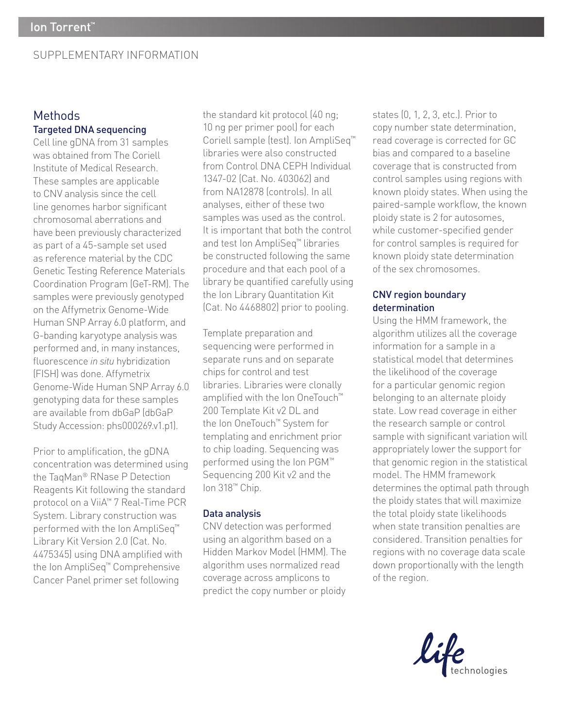### SUPPLEMENTARY INFORMATION

### Methods Targeted DNA sequencing

Cell line gDNA from 31 samples was obtained from The Coriell Institute of Medical Research. These samples are applicable to CNV analysis since the cell line genomes harbor significant chromosomal aberrations and have been previously characterized as part of a 45-sample set used as reference material by the CDC Genetic Testing Reference Materials Coordination Program (GeT-RM). The samples were previously genotyped on the Affymetrix Genome-Wide Human SNP Array 6.0 platform, and G-banding karyotype analysis was performed and, in many instances, fluorescence *in situ* hybridization (FISH) was done. Affymetrix Genome-Wide Human SNP Array 6.0 genotyping data for these samples are available from dbGaP (dbGaP Study Accession: phs000269.v1.p1).

Prior to amplification, the gDNA concentration was determined using the TaqMan® RNase P Detection Reagents Kit following the standard protocol on a ViiA™ 7 Real-Time PCR System. Library construction was performed with the Ion AmpliSeq<sup>™</sup> Library Kit Version 2.0 (Cat. No. 4475345) using DNA amplified with the Ion AmpliSeq™ Comprehensive Cancer Panel primer set following

the standard kit protocol (40 ng; 10 ng per primer pool) for each Coriell sample (test). Ion AmpliSeq™ libraries were also constructed from Control DNA CEPH Individual 1347-02 (Cat. No. 403062) and from NA12878 (controls). In all analyses, either of these two samples was used as the control. It is important that both the control and test Ion AmpliSeq™ libraries be constructed following the same procedure and that each pool of a library be quantified carefully using the Ion Library Quantitation Kit (Cat. No 4468802) prior to pooling.

Template preparation and sequencing were performed in separate runs and on separate chips for control and test libraries. Libraries were clonally amplified with the Ion OneTouch™ 200 Template Kit v2 DL and the Ion OneTouch™ System for templating and enrichment prior to chip loading. Sequencing was performed using the Ion PGM™ Sequencing 200 Kit v2 and the Ion 318™ Chip.

#### Data analysis

CNV detection was performed using an algorithm based on a Hidden Markov Model (HMM). The algorithm uses normalized read coverage across amplicons to predict the copy number or ploidy states (0, 1, 2, 3, etc.). Prior to copy number state determination, read coverage is corrected for GC bias and compared to a baseline coverage that is constructed from control samples using regions with known ploidy states. When using the paired-sample workflow, the known ploidy state is 2 for autosomes, while customer-specified gender for control samples is required for known ploidy state determination of the sex chromosomes.

#### CNV region boundary determination

Using the HMM framework, the algorithm utilizes all the coverage information for a sample in a statistical model that determines the likelihood of the coverage for a particular genomic region belonging to an alternate ploidy state. Low read coverage in either the research sample or control sample with significant variation will appropriately lower the support for that genomic region in the statistical model. The HMM framework determines the optimal path through the ploidy states that will maximize the total ploidy state likelihoods when state transition penalties are considered. Transition penalties for regions with no coverage data scale down proportionally with the length of the region.

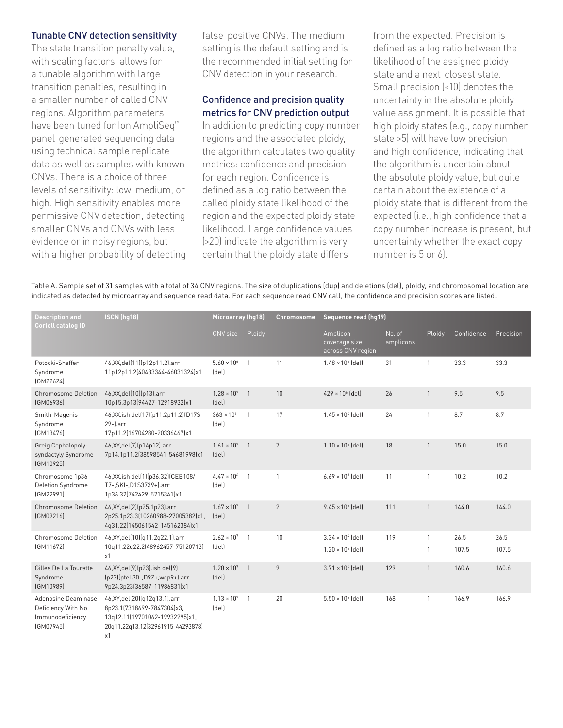#### Tunable CNV detection sensitivity

The state transition penalty value, with scaling factors, allows for a tunable algorithm with large transition penalties, resulting in a smaller number of called CNV regions. Algorithm parameters have been tuned for Ion AmpliSeq™ panel-generated sequencing data using technical sample replicate data as well as samples with known CNVs. There is a choice of three levels of sensitivity: low, medium, or high. High sensitivity enables more permissive CNV detection, detecting smaller CNVs and CNVs with less evidence or in noisy regions, but with a higher probability of detecting false-positive CNVs. The medium setting is the default setting and is the recommended initial setting for CNV detection in your research.

### Confidence and precision quality metrics for CNV prediction output

In addition to predicting copy number regions and the associated ploidy, the algorithm calculates two quality metrics: confidence and precision for each region. Confidence is defined as a log ratio between the called ploidy state likelihood of the region and the expected ploidy state likelihood. Large confidence values (>20) indicate the algorithm is very certain that the ploidy state differs

from the expected. Precision is defined as a log ratio between the likelihood of the assigned ploidy state and a next-closest state. Small precision (<10) denotes the uncertainty in the absolute ploidy value assignment. It is possible that high ploidy states (e.g., copy number state >5) will have low precision and high confidence, indicating that the algorithm is uncertain about the absolute ploidy value, but quite certain about the existence of a ploidy state that is different from the expected (i.e., high confidence that a copy number increase is present, but uncertainty whether the exact copy number is 5 or 6).

Table A. Sample set of 31 samples with a total of 34 CNV regions. The size of duplications (dup) and deletions (del), ploidy, and chromosomal location are indicated as detected by microarray and sequence read data. For each sequence read CNV call, the confidence and precision scores are listed.

| <b>Description and</b><br><b>Coriell catalog ID</b>                        | ISCN (hg18)                                                                                                                                | Microarray (hg18)             |                | Chromosome      | Sequence read (hq19)                           |                     |              |            |           |  |
|----------------------------------------------------------------------------|--------------------------------------------------------------------------------------------------------------------------------------------|-------------------------------|----------------|-----------------|------------------------------------------------|---------------------|--------------|------------|-----------|--|
|                                                                            |                                                                                                                                            | CNV size                      | Ploidy         |                 | Amplicon<br>coverage size<br>across CNV region | No. of<br>amplicons | Ploidy       | Confidence | Precision |  |
| Potocki-Shaffer<br>Syndrome<br>[GM22624]                                   | 46, XX, del(11)(p12p11.2). arr<br>11p12p11.2(40433344-46031324)x1                                                                          | $5.60 \times 10^{6}$<br>(del) | $\mathbf{1}$   | 11              | $1.48 \times 10^5$ (del)                       | 31                  | $\mathbf{1}$ | 33.3       | 33.3      |  |
| <b>Chromosome Deletion</b><br>[GM06936]                                    | 46, XX, del(10)(p13). arr<br>10p15.3p13(94427-12918932)x1                                                                                  | $1.28 \times 10^{7}$<br>(del) | $\overline{1}$ | 10              | $429 \times 10^{6}$ (del)                      | 26                  | $\mathbf{1}$ | 9.5        | 9.5       |  |
| Smith-Magenis<br>Syndrome<br>[GM13476]                                     | 46, XX.ish del(17)(p11.2p11.2)(D17S<br>$29$ -).arr<br>17p11.2(16704280-20336467)x1                                                         | $363 \times 10^{6}$<br>(del)  | $\mathbf{1}$   | 17              | $1.45 \times 10^{4}$ [del]                     | 24                  | $\mathbf{1}$ | 8.7        | 8.7       |  |
| Greig Cephalopoly-<br>syndactyly Syndrome<br>(GM10925)                     | 46, XY, del(7)(p14p12).arr<br>7p14.1p11.2(38598541-54681998)x1                                                                             | $1.61 \times 10^{7}$<br>(del) | $\overline{1}$ | $7\overline{ }$ | $1.10 \times 10^5$ (del)                       | 18                  | $\mathbf{1}$ | 15.0       | 15.0      |  |
| Chromosome 1p36<br>Deletion Syndrome<br>[GM22991]                          | 46, XX.ish del(1)(p36.32)(CEB108/<br>T7-, SKI-, D1S3739+).arr<br>1p36.32(742429-5215341)x1                                                 | $4.47 \times 10^{6}$<br>(del) | $\overline{1}$ | $\mathbf{1}$    | $6.69 \times 10^{3}$ [del]                     | 11                  | $\mathbf{1}$ | 10.2       | 10.2      |  |
| <b>Chromosome Deletion</b><br>[GM09216]                                    | 46, XY, del(2)(p25.1p23).arr<br>2p25.1p23.3(10260988-27005382)x1,<br>4q31.22(145061542-145162384)x1                                        | $1.67 \times 10^{7}$<br>(del) | $\overline{1}$ | 2               | $9.45 \times 10^{6}$ (del)                     | 111                 | $\mathbf{1}$ | 144.0      | 144.0     |  |
| Chromosome Deletion                                                        | 46, XY, del (10) (q11.2q22.1). arr                                                                                                         | $2.62 \times 10^{7}$          | $\overline{1}$ | 10              | $3.34 \times 10^{4}$ [del]                     | 119                 | $\mathbf{1}$ | 26.5       | 26.5      |  |
| [GM11672]                                                                  | 10q11.22q22.2(48962457-75120713)<br>x1                                                                                                     | (del)                         |                |                 | $1.20 \times 10^5$ (del)                       |                     | 1            | 107.5      | 107.5     |  |
| Gilles De La Tourette<br>Syndrome<br>(GM10989)                             | 46, XY, del(9)(p23). ish del(9)<br>(p23)(ptel 30-, D9Z+, wcp9+).arr<br>9p24.3p23(36587-11986831)x1                                         | $1.20 \times 10^{7}$<br>(del) | $\overline{1}$ | 9               | $3.71 \times 10^{6}$ (del)                     | 129                 | $\mathbf{1}$ | 160.6      | 160.6     |  |
| Adenosine Deaminase<br>Deficiency With No<br>Immunodeficiency<br>(GM07945) | 46, XY, del(20) (q12q13.1). arr<br>8p23.1(7318699-7847304)x3,<br>13q12.11(19701062-19932295)x1,<br>20q11.22q13.12(32961915-44293878)<br>x1 | $1.13 \times 10^{7}$<br>(del) | $\mathbf{1}$   | 20              | $5.50 \times 10^{6}$ (del)                     | 168                 | $\mathbf{1}$ | 166.9      | 166.9     |  |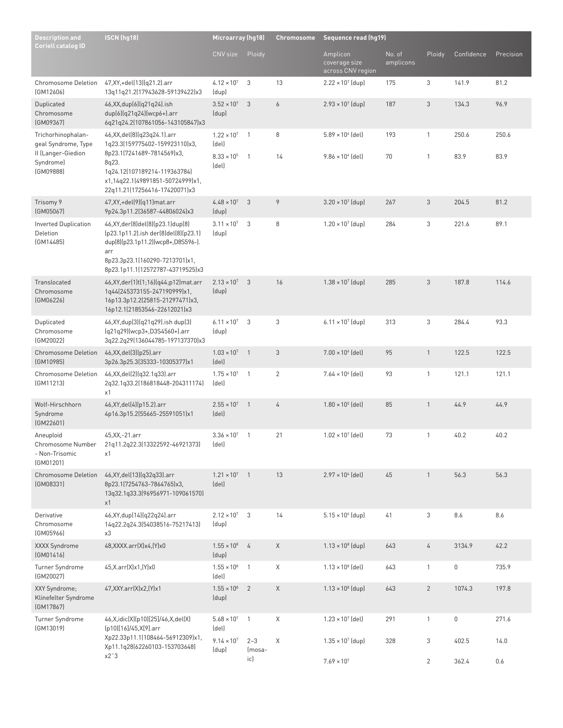| <b>Description and</b><br><b>Coriell catalog ID</b>           | ISCN (hg18)                                                                                                                                                                                        | Microarray (hg18)             |                   | Chromosome       | <b>Sequence read (hq19)</b>                    |                     |                |             |           |  |
|---------------------------------------------------------------|----------------------------------------------------------------------------------------------------------------------------------------------------------------------------------------------------|-------------------------------|-------------------|------------------|------------------------------------------------|---------------------|----------------|-------------|-----------|--|
|                                                               |                                                                                                                                                                                                    | CNV size                      | Ploidy            |                  | Amplicon<br>coverage size<br>across CNV region | No. of<br>amplicons | Ploidy         | Confidence  | Precision |  |
| <b>Chromosome Deletion</b><br>[GM12606]                       | 47, XY, + del(13) (q21.2). arr<br>13q11q21.2(17943628-59139422)x3                                                                                                                                  | $4.12 \times 10^{7}$<br>(dup) | 3                 | 13               | $2.22 \times 10^{7}$ (dup)                     | 175                 | 3              | 141.9       | 81.2      |  |
| Duplicated<br>Chromosome<br>(GM09367)                         | 46, XX, dup(6) (q21q24). ish<br>dup(6)(q21q24)(wcp6+).arr<br>6q21q24.2(107861056-143105847)x3                                                                                                      | $3.52 \times 10^{7}$<br>(dup) | $\mathfrak{Z}$    | $\boldsymbol{6}$ | $2.93 \times 10^{7}$ (dup)                     | 187                 | $\sqrt{3}$     | 134.3       | 96.9      |  |
| Trichorhinophalan-<br>geal Syndrome, Type                     | 46, XX, del (8) (q23q24.1). arr<br>1q23.3(159775402-159923110)x3,                                                                                                                                  | $1.22 \times 10^{7}$<br>(del) | $\mathbf{1}$      | 8                | $5.89 \times 10^{6}$ (del)                     | 193                 | $\mathbf{1}$   | 250.6       | 250.6     |  |
| II (Langer-Giedion<br>Syndrome)<br>(GM09888)                  | 8p23.1(7241689-7814569)x3,<br>8q23.<br>1q24.12(107189214-119363784)<br>x1,14q22.1(49891851-50724999)x1,<br>22q11.21(17256416-17420071)x3                                                           | $8.33 \times 10^{5}$<br>(del) | $\mathbf{1}$      | 14               | $9.86 \times 10^{4}$ (del)                     | 70                  | $\mathbf{1}$   | 83.9        | 83.9      |  |
| Trisomy 9<br>(GM05067)                                        | 47, XY, +del(9)(q11) mat.arr<br>9p24.3p11.2(36587-44806024)x3                                                                                                                                      | $4.48 \times 10^{7}$<br>(dup) | 3                 | $\overline{9}$   | $3.20 \times 10^{7}$ (dup)                     | 267                 | $\mathfrak{Z}$ | 204.5       | 81.2      |  |
| <b>Inverted Duplication</b><br>Deletion<br>[GM14485]          | 46, XY, der (8) del (8) (p23.1) dup (8)<br>(p23.1p11.2).ish der(8)del(8)(p23.1)<br>dup(8)(p23.1p11.2)(wcp8+,D8S596-).<br>arr<br>8p23.3p23.1(160290-7213701)x1,<br>8p23.1p11.1(12572787-43719525)x3 | $3.11 \times 10^{7}$<br>(dup) | 3                 | 8                | $1.20 \times 10^{7}$ (dup)                     | 284                 | 3              | 221.6       | 89.1      |  |
| Translocated<br>Chromosome<br>(GM06226)                       | 46, XY, der(1)t(1; 16)(q44; p12) mat.arr<br>1q44(245373155-247190999)x1,<br>16p13.3p12.2(25815-21297471)x3,<br>16p12.1(21853546-22612021)x3                                                        | $2.13 \times 10^7$ 3<br>(dup) |                   | 16               | $1.38 \times 10^{7}$ (dup)                     | 285                 | 3              | 187.8       | 114.6     |  |
| Duplicated<br>Chromosome<br>(GM20022)                         | 46, XY, dup(3)(q21q29). ish dup(3)<br>(q21q29)(wcp3+,D3S4560+).arr<br>3q22.2q29(136044785-197137370)x3                                                                                             | $6.11 \times 10^{7}$<br>(dup) | 3                 | 3                | $6.11 \times 10^{7}$ (dup)                     | 313                 | 3              | 284.4       | 93.3      |  |
| <b>Chromosome Deletion</b><br>(GM10985)                       | 46, XX, del (3) (p25). arr<br>3p26.3p25.3(35333-10305377)x1                                                                                                                                        | $1.03 \times 10^{7}$<br>(del) | $\mathbf{1}$      | $\sqrt{3}$       | $7.00 \times 10^{6}$ (del)                     | 95                  | $\mathbf{1}$   | 122.5       | 122.5     |  |
| Chromosome Deletion<br>(GM11213)                              | 46, XX, del(2)(q32.1q33).arr<br>2q32.1q33.2(186818448-204311174)<br>x1                                                                                                                             | $1.75 \times 10^{7}$<br>(del) | $\mathbf{1}$      | $\overline{2}$   | $7.64 \times 10^{6}$ (del)                     | 93                  | $\mathbf{1}$   | 121.1       | 121.1     |  |
| Wolf-Hirschhorn<br>Syndrome<br>[GM22601]                      | 46, XY, del (4) (p15.2). arr<br>4p16.3p15.2(55665-25591051)x1                                                                                                                                      | $2.55 \times 10^{7}$<br>(del) | $\mathbf{1}$      | 4                | $1.80 \times 10^5$ (del)                       | 85                  | $\mathbf{1}$   | 44.9        | 44.9      |  |
| Aneuploid<br>Chromosome Number<br>- Non-Trisomic<br>[GM01201] | 45, XX, - 21. arr<br>21q11.2q22.3(13322592-46921373)<br>x1                                                                                                                                         | $3.36 \times 10^{7}$<br>(del) | $\overline{1}$    | 21               | $1.02 \times 10^{7}$ (del)                     | 73                  | $\mathbf{1}$   | 40.2        | 40.2      |  |
| <b>Chromosome Deletion</b><br>[GM08331]                       | 46, XY, del(13) (q32q33).arr<br>8p23.1(7254763-7864765)x3,<br>13q32.1q33.3(96956971-109061570)<br>x1                                                                                               | $1.21 \times 10^7$ 1<br>(del) |                   | 13               | $2.97 \times 10^{4}$ (del)                     | 45                  | $\mathbf{1}$   | 56.3        | 56.3      |  |
| Derivative<br>Chromosome<br>(GM05966)                         | 46, XY, dup [14] (q22q24). arr<br>14q22.2q24.3(54038516-75217413)<br>x3                                                                                                                            | $2.12 \times 10^7$ 3<br>(dup) |                   | 14               | $5.15 \times 10^{4}$ (dup)                     | 41                  | 3              | 8.6         | 8.6       |  |
| XXXX Syndrome<br>[GM01416]                                    | 48, XXXX.arr(X) x4, (Y) x0                                                                                                                                                                         | $1.55 \times 10^8$ 4<br>(dup) |                   | X                | $1.13 \times 10^8$ (dup)                       | 643                 | 4              | 3134.9      | 42.2      |  |
| Turner Syndrome<br>(GM20027)                                  | 45, X. arr(X) x 1, (Y) x 0                                                                                                                                                                         | $1.55 \times 10^{8}$<br>(del) | $\overline{1}$    | Χ                | $1.13 \times 10^8$ (del)                       | 643                 | $\mathbf{1}$   | $\mathbb O$ | 735.9     |  |
| XXY Syndrome;<br>Klinefelter Syndrome<br>(GM17867)            | 47, XXY. arr(X) x2, (Y) x1                                                                                                                                                                         | $1.55 \times 10^8$<br>(dup)   | $\overline{2}$    | X                | $1.13 \times 10^8$ (dup)                       | 643                 | $\overline{2}$ | 1074.3      | 197.8     |  |
| Turner Syndrome<br>(GM13019)                                  | 46, X, idic(X)(p10)[25]/46, X, del(X)<br>(p10)[16]/45,X[9].arr                                                                                                                                     | $5.68 \times 10^7$ 1<br>(del) |                   | Χ                | $1.23 \times 10^{7}$ (del)                     | 291                 | $\mathbf{1}$   | $\mathbb O$ | 271.6     |  |
|                                                               | Xp22.33p11.1(108464-56912309)x1,<br>Xp11.1q28(62260103-153703648)<br>$x2^{\degree}3$                                                                                                               | $9.14 \times 10^{7}$<br>(dup) | $2 - 3$<br>(mosa- | Χ                | $1.35 \times 10^{7}$ (dup)                     | 328                 | 3              | 402.5       | 14.0      |  |
|                                                               |                                                                                                                                                                                                    |                               | ic)               |                  | $7.69 \times 10^{7}$                           |                     | $\overline{2}$ | 362.4       | 0.6       |  |